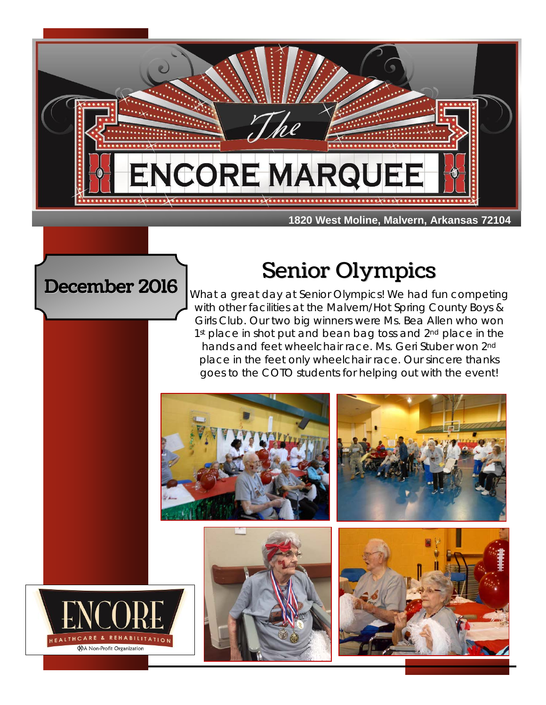

December 2016

# Senior Olympics

What a great day at Senior Olympics! We had fun competing with other facilities at the Malvern/Hot Spring County Boys & Girls Club. Our two big winners were Ms. Bea Allen who won 1<sup>st</sup> place in shot put and bean bag toss and 2<sup>nd</sup> place in the hands and feet wheelchair race. Ms. Geri Stuber won 2nd place in the feet only wheelchair race. Our sincere thanks goes to the COTO students for helping out with the event!

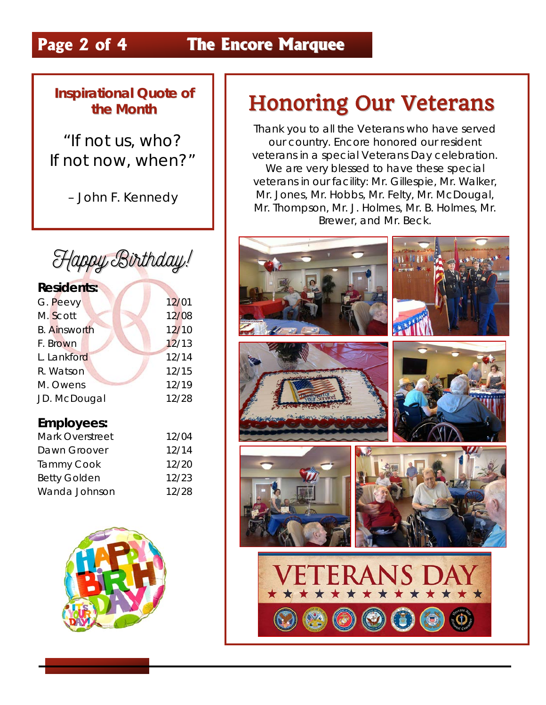## **Page 2 of 4 The Encore Marquee**

### **Inspirational Quote of the Month**

"If not us, who? If not now, when?"

– John F. Kennedy



| <b>Residents:</b>   |       |
|---------------------|-------|
| G. Peevy            | 12/01 |
| M. Scott            | 12/08 |
| <b>B.</b> Ainsworth | 12/10 |
| F. Brown            | 12/13 |
| L. Lankford         | 12/14 |
| R. Watson           | 12/15 |
| M. Owens            | 12/19 |
| JD. McDougal        | 12/28 |
|                     |       |

#### **Employees:**

| Mark Overstreet     | 12/04 |
|---------------------|-------|
| Dawn Groover        | 12/14 |
| <b>Tammy Cook</b>   | 12/20 |
| <b>Betty Golden</b> | 12/23 |
| Wanda Johnson       | 12/28 |



## Honoring Our Veterans

Thank you to all the Veterans who have served our country. Encore honored our resident veterans in a special Veterans Day celebration. We are very blessed to have these special veterans in our facility: Mr. Gillespie, Mr. Walker, Mr. Jones, Mr. Hobbs, Mr. Felty, Mr. McDougal, Mr. Thompson, Mr. J. Holmes, Mr. B. Holmes, Mr. Brewer, and Mr. Beck.

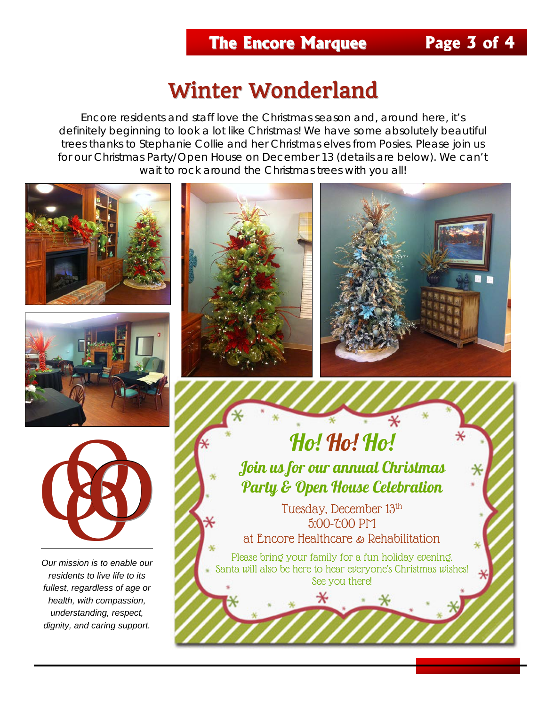## **The Encore Marquee Page 3 of 4**

## Winter Wonderland

Encore residents and staff love the Christmas season and, around here, it's definitely beginning to look a lot like Christmas! We have some absolutely beautiful trees thanks to Stephanie Collie and her Christmas elves from Posies. Please join us for our Christmas Party/Open House on December 13 (details are below). We can't wait to rock around the Christmas trees with you all!







*Our mission is to enable our residents to live life to its fullest, regardless of age or health, with compassion, understanding, respect, dignity, and caring support.*





## Ho! Ho! Ho! Join us for our annual Christmas Party & Open House Celebration

Tuesday, December 13th 5:00-7:00 PM at Encore Healthcare & Rehabilitation

Please bring your family for a fun holiday evening. Santa will also be here to hear everyone's Christmas wishes! See you there!